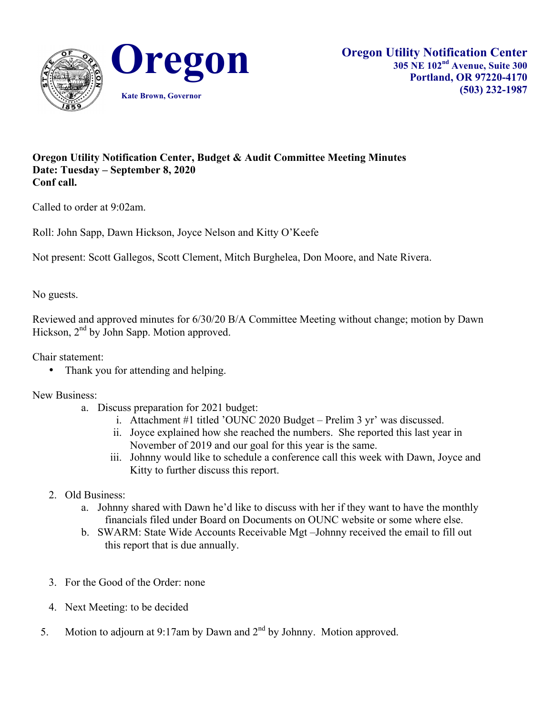

## **Oregon Utility Notification Center, Budget & Audit Committee Meeting Minutes Date: Tuesday – September 8, 2020 Conf call.**

Called to order at 9:02am.

Roll: John Sapp, Dawn Hickson, Joyce Nelson and Kitty O'Keefe

Not present: Scott Gallegos, Scott Clement, Mitch Burghelea, Don Moore, and Nate Rivera.

No guests.

Reviewed and approved minutes for 6/30/20 B/A Committee Meeting without change; motion by Dawn Hickson, 2<sup>nd</sup> by John Sapp. Motion approved.

Chair statement:

• Thank you for attending and helping.

New Business:

- a. Discuss preparation for 2021 budget:
	- i. Attachment #1 titled 'OUNC 2020 Budget Prelim 3 yr' was discussed.
	- ii. Joyce explained how she reached the numbers. She reported this last year in November of 2019 and our goal for this year is the same.
	- iii. Johnny would like to schedule a conference call this week with Dawn, Joyce and Kitty to further discuss this report.
- 2. Old Business:
	- a. Johnny shared with Dawn he'd like to discuss with her if they want to have the monthly financials filed under Board on Documents on OUNC website or some where else.
	- b. SWARM: State Wide Accounts Receivable Mgt –Johnny received the email to fill out this report that is due annually.
- 3. For the Good of the Order: none
- 4. Next Meeting: to be decided
- 5. Motion to adjourn at 9:17am by Dawn and  $2<sup>nd</sup>$  by Johnny. Motion approved.